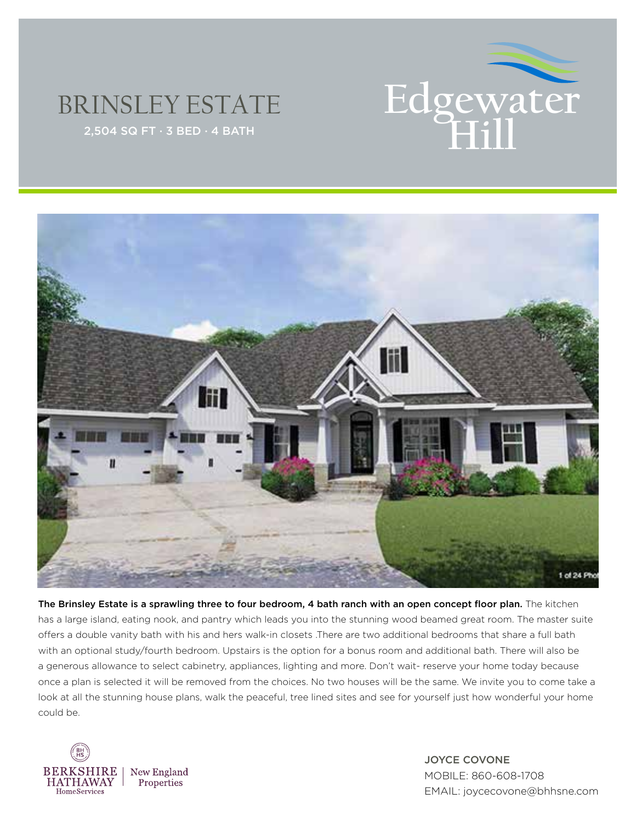

## BRINSLEY ESTATE



The Brinsley Estate is a sprawling three to four bedroom, 4 bath ranch with an open concept floor plan. The kitchen has a large island, eating nook, and pantry which leads you into the stunning wood beamed great room. The master suite offers a double vanity bath with his and hers walk-in closets .There are two additional bedrooms that share a full bath with an optional study/fourth bedroom. Upstairs is the option for a bonus room and additional bath. There will also be a generous allowance to select cabinetry, appliances, lighting and more. Don't wait- reserve your home today because once a plan is selected it will be removed from the choices. No two houses will be the same. We invite you to come take a look at all the stunning house plans, walk the peaceful, tree lined sites and see for yourself just how wonderful your home could be.



JOYCE COVONE MOBILE: 860-608-1708 EMAIL: joycecovone@bhhsne.com